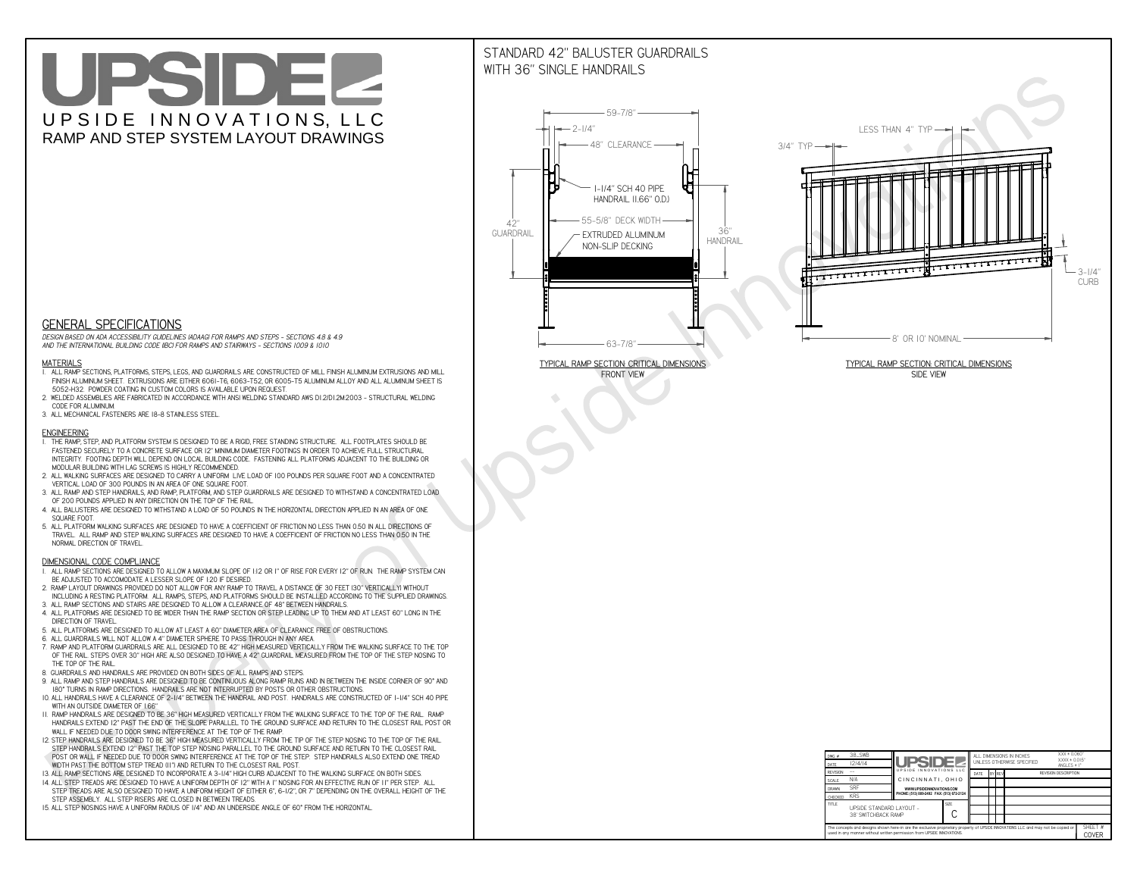# UPSIDEL UPSIDE INNOVATIONS, LLC RAMP AND STEP SYSTEM LAYOUT DRAWINGS

## STANDARD 42" BALUSTER GUARDRAILSWITH 36" SINGLE HANDRAILS

**FRONT VIEW**





**GENERAL SPECIFICATIONS**

 *DESIGN BASED ON ADA ACCESSIBILITY GUIDELINES (ADAAG) FOR RAMPS AND STEPS - SECTIONS 4.8 & 4.9AND THE INTERNATIONAL BUILDING CODE (IBC) FOR RAMPS AND STAIRWAYS - SECTIONS 1009 & 1010*

#### **MATERIALS**

- **1. ALL RAMP SECTIONS, PLATFORMS, STEPS, LEGS, AND GUARDRAILS ARE CONSTRUCTED OF MILL FINISH ALUMINUM EXTRUSIONS AND MILL FINISH ALUMINUM SHEET. EXTRUSIONS ARE EITHER 6061-T6, 6063-T52, OR 6005-T5 ALUMINUM ALLOY AND ALL ALUMINUM SHEET IS 5052-H32. POWDER COATING IN CUSTOM COLORS IS AVAILABLE UPON REQUEST.**
- **2. WELDED ASSEMBLIES ARE FABRICATED IN ACCORDANCE WITH ANSI WELDING STANDARD AWS D1.2/D1.2M:2003 STRUCTURAL WELDING CODE FOR ALUMINUM.**
- **3. ALL MECHANICAL FASTENERS ARE 18-8 STAINLESS STEEL.**

#### **ENGINEERING**

- **1. THE RAMP, STEP, AND PLATFORM SYSTEM IS DESIGNED TO BE A RIGID, FREE STANDING STRUCTURE. ALL FOOTPLATES SHOULD BE FASTENED SECURELY TO A CONCRETE SURFACE OR 12" MINIMUM DIAMETER FOOTINGS IN ORDER TO ACHIEVE FULL STRUCTURAL INTEGRITY. FOOTING DEPTH WILL DEPEND ON LOCAL BUILDING CODE. FASTENING ALL PLATFORMS ADJACENT TO THE BUILDING OR MODULAR BUILDING WITH LAG SCREWS IS HIGHLY RECOMMENDED.**
- **2. ALL WALKING SURFACES ARE DESIGNED TO CARRY A UNIFORM LIVE LOAD OF 100 POUNDS PER SQUARE FOOT AND A CONCENTRATED VERTICAL LOAD OF 300 POUNDS IN AN AREA OF ONE SQUARE FOOT.**
- **3. ALL RAMP AND STEP HANDRAILS, AND RAMP, PLATFORM, AND STEP GUARDRAILS ARE DESIGNED TO WITHSTAND A CONCENTRATED LOAD OF 200 POUNDS APPLIED IN ANY DIRECTION ON THE TOP OF THE RAIL.**
- **4. ALL BALUSTERS ARE DESIGNED TO WITHSTAND A LOAD OF 50 POUNDS IN THE HORIZONTAL DIRECTION APPLIED IN AN AREA OF ONE SQUARE FOOT.**
- **5. ALL PLATFORM WALKING SURFACES ARE DESIGNED TO HAVE A COEFFICIENT OF FRICTION NO LESS THAN 0.50 IN ALL DIRECTIONS OF TRAVEL. ALL RAMP AND STEP WALKING SURFACES ARE DESIGNED TO HAVE A COEFFICIENT OF FRICTION NO LESS THAN 0.50 IN THE NORMAL DIRECTION OF TRAVEL.**

| $DWG.$ #<br>DATE                                                                                                                                                                                            | 38_SWB<br> 2/4/14                               | <b>UPSIDE2</b>                            |  | ALL DIMENSIONS IN INCHES<br>UNI FSS OTHERWISE SPECIFIED |        |  |  | $XXX = 0.060"$<br>$XXX \pm 0.015$ "<br>ANGLES $\pm$ 1° |                  |
|-------------------------------------------------------------------------------------------------------------------------------------------------------------------------------------------------------------|-------------------------------------------------|-------------------------------------------|--|---------------------------------------------------------|--------|--|--|--------------------------------------------------------|------------------|
| <b>REVISION</b>                                                                                                                                                                                             |                                                 | UPSIDE INNOVATIONS LLC                    |  | DATE                                                    | BY REV |  |  | <b>REVISION DESCRIPTION</b>                            |                  |
| <b>SCALE</b>                                                                                                                                                                                                | N/A                                             | CINCINNATI, OHIO                          |  |                                                         |        |  |  |                                                        |                  |
| <b>DRAWN</b>                                                                                                                                                                                                | <b>SRF</b>                                      | WWW.UPSIDEINNOVATIONS.COM                 |  |                                                         |        |  |  |                                                        |                  |
| CHECKED                                                                                                                                                                                                     | <b>KRS</b>                                      | PHONE: (513) 889-2492 FAX: (513) 672-2124 |  |                                                         |        |  |  |                                                        |                  |
| <b>TITLE</b>                                                                                                                                                                                                | UPSIDE STANDARD LAYOUT -<br>38' SWITCHBACK RAMP |                                           |  |                                                         |        |  |  |                                                        |                  |
| The concepts and designs shown here-in are the exclusive proprietary property of UPSIDE INNOVATIONS LLC. and may not be copied or<br>used in any manner without written permission from UPSIDE INNOVATIONS. |                                                 |                                           |  |                                                         |        |  |  |                                                        | SHEET #<br>COVER |

### **DIMENSIONAL CODE COMPLIANCE**

- **1. ALL RAMP SECTIONS ARE DESIGNED TO ALLOW A MAXIMUM SLOPE OF 1:12 OR 1" OF RISE FOR EVERY 12" OF RUN. THE RAMP SYSTEM CAN BE ADJUSTED TO ACCOMODATE A LESSER SLOPE OF 1:20 IF DESIRED.**
- **2. RAMP LAYOUT DRAWINGS PROVIDED DO NOT ALLOW FOR ANY RAMP TO TRAVEL A DISTANCE OF 30 FEET (30" VERTICALLY) WITHOUT INCLUDING A RESTING PLATFORM. ALL RAMPS, STEPS, AND PLATFORMS SHOULD BE INSTALLED ACCORDING TO THE SUPPLIED DRAWINGS.**
- **3. ALL RAMP SECTIONS AND STAIRS ARE DESIGNED TO ALLOW A CLEARANCE OF 48" BETWEEN HANDRAILS.**
- **4. ALL PLATFORMS ARE DESIGNED TO BE WIDER THAN THE RAMP SECTION OR STEP LEADING UP TO THEM AND AT LEAST 60" LONG IN THE DIRECTION OF TRAVEL.**
- **5. ALL PLATFORMS ARE DESIGNED TO ALLOW AT LEAST A 60" DIAMETER AREA OF CLEARANCE FREE OF OBSTRUCTIONS.**
- **6. ALL GUARDRAILS WILL NOT ALLOW A 4" DIAMETER SPHERE TO PASS THROUGH IN ANY AREA.**
- **7. RAMP AND PLATFORM GUARDRAILS ARE ALL DESIGNED TO BE 42" HIGH MEASURED VERTICALLY FROM THE WALKING SURFACE TO THE TOP OF THE RAIL. STEPS OVER 30" HIGH ARE ALSO DESIGNED TO HAVE A 42" GUARDRAIL MEASURED FROM THE TOP OF THE STEP NOSING TO THE TOP OF THE RAIL.**
- **8. GUARDRAILS AND HANDRAILS ARE PROVIDED ON BOTH SIDES OF ALL RAMPS AND STEPS.**
- **9. ALL RAMP AND STEP HANDRAILS ARE DESIGNED TO BE CONTINUOUS ALONG RAMP RUNS AND IN BETWEEN THE INSIDE CORNER OF 90° AND 180° TURNS IN RAMP DIRECTIONS. HANDRAILS ARE NOT INTERRUPTED BY POSTS OR OTHER OBSTRUCTIONS.**
- **10. ALL HANDRAILS HAVE A CLEARANCE OF 2-1/4" BETWEEN THE HANDRAIL AND POST. HANDRAILS ARE CONSTRUCTED OF 1-1/4" SCH 40 PIPE WITH AN OUTSIDE DIAMETER OF 1.66"**
- **11. RAMP HANDRAILS ARE DESIGNED TO BE 36" HIGH MEASURED VERTICALLY FROM THE WALKING SURFACE TO THE TOP OF THE RAIL. RAMP HANDRAILS EXTEND 12" PAST THE END OF THE SLOPE PARALLEL TO THE GROUND SURFACE AND RETURN TO THE CLOSEST RAIL POST OR WALL IF NEEDED DUE TO DOOR SWING INTERFERENCE AT THE TOP OF THE RAMP.**
- **12. STEP HANDRAILS ARE DESIGNED TO BE 36" HIGH MEASURED VERTICALLY FROM THE TIP OF THE STEP NOSING TO THE TOP OF THE RAIL. STEP HANDRAILS EXTEND 12" PAST THE TOP STEP NOSING PARALLEL TO THE GROUND SURFACE AND RETURN TO THE CLOSEST RAIL POST OR WALL IF NEEDED DUE TO DOOR SWING INTERFERENCE AT THE TOP OF THE STEP. STEP HANDRAILS ALSO EXTEND ONE TREAD**
- **WIDTH PAST THE BOTTOM STEP TREAD (11") AND RETURN TO THE CLOSEST RAIL POST.**
- **13. ALL RAMP SECTIONS ARE DESIGNED TO INCORPORATE A 3-1/4" HIGH CURB ADJACENT TO THE WALKING SURFACE ON BOTH SIDES.**
- **14. ALL STEP TREADS ARE DESIGNED TO HAVE A UNIFORM DEPTH OF 12" WITH A 1" NOSING FOR AN EFFECTIVE RUN OF 11" PER STEP. ALL STEP TREADS ARE ALSO DESIGNED TO HAVE A UNIFORM HEIGHT OF EITHER 6", 6-1/2", OR 7" DEPENDING ON THE OVERALL HEIGHT OF THE STEP ASSEMBLY. ALL STEP RISERS ARE CLOSED IN BETWEEN TREADS.**
- **15. ALL STEP NOSINGS HAVE A UNIFORM RADIUS OF 1/4" AND AN UNDERSIDE ANGLE OF 60° FROM THE HORIZONTAL.**